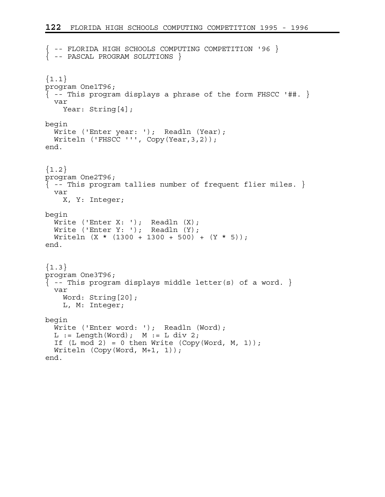```
{ -- FLORIDA HIGH SCHOOLS COMPUTING COMPETITION '96 } 
{ -- PASCAL PROGRAM SOLUTIONS } 
{1.1}program One1T96; 
\{-- This program displays a phrase of the form FHSCC '##. \} var 
     Year: String[4]; 
begin 
 Write ('Enter year: '); Readln (Year); 
 Writeln ('FHSCC ''', Copy(Year,3,2)); 
end. 
{1.2}program One2T96; 
\{ - - This program tallies number of frequent flier miles. \} var 
     X, Y: Integer; 
begin 
  Write ('Enter X: '); Readln (X);
  Write ('Enter Y: '); Readln (Y);
 Writeln (X * (1300 + 1300 + 500) + (Y * 5));end. 
{1.3}program One3T96; 
\{ - - This program displays middle letter(s) of a word. \} var 
     Word: String[20]; 
     L, M: Integer; 
begin 
  Write ('Enter word: '); Readln (Word);
  L := Length(Word); M := L div 2;
  If (L \mod 2) = 0 then Write (Copy(Word, M, 1));
   Writeln (Copy(Word, M+1, 1)); 
end.
```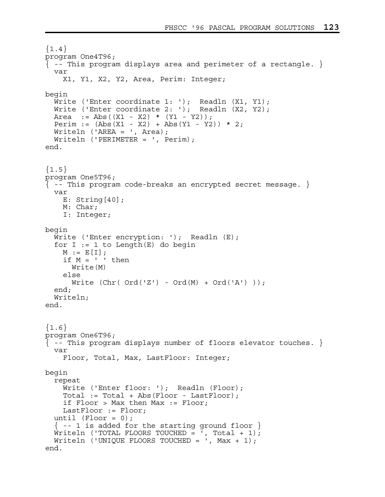```
{1.4}program One4T96; 
\{ -- This program displays area and perimeter of a rectangle. \} var 
     X1, Y1, X2, Y2, Area, Perim: Integer; 
begin 
   Write ('Enter coordinate 1: '); Readln (X1, Y1); 
  Write ('Enter coordinate 2: '); Readln (X2, Y2);
  Area := Abs((X1 - X2) * (Y1 - Y2);
  Perim := (Abs(X1 - X2) + Abs(Y1 - Y2)) * 2; Writeln ('AREA = ', Area); 
   Writeln ('PERIMETER = ', Perim); 
end. 
{1.5}program One5T96; 
{ -- This program code-breaks an encrypted secret message. } 
   var 
     E: String[40]; 
     M: Char; 
     I: Integer; 
begin 
  Write ('Enter encryption: '); Readln (E);
  for I := 1 to Length(E) do begin
    M := E[I];if M = ' ' then
       Write(M) 
     else 
      Write (Chr( Ord('Z') - Ord(M) + Ord('A'))); end; 
   Writeln; 
end. 
{1.6}program One6T96; 
\{ -- This program displays number of floors elevator touches. \} var 
     Floor, Total, Max, LastFloor: Integer; 
begin 
   repeat 
    Write ('Enter floor: '); Readln (Floor);
     Total := Total + Abs(Floor - LastFloor); 
     if Floor > Max then Max := Floor; 
     LastFloor := Floor; 
  until (Floor = 0);
  \{- -1 is added for the starting ground floor \}Writeln ('TOTAL FLOORS TOUCHED = ', Total + 1);
  Writeln ('UNIQUE FLOORS TOUCHED = ', Max + 1);
end.
```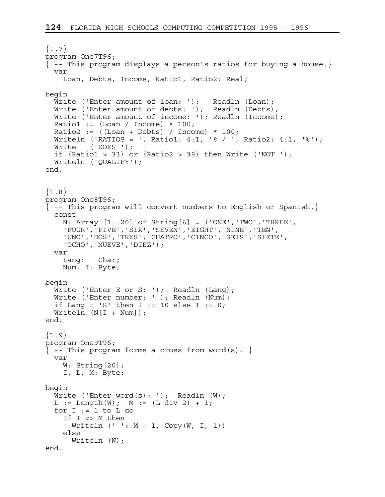```
{1.7}program One7T96; 
{ -- This program displays a person's ratios for buying a house.} 
   var 
     Loan, Debts, Income, Ratio1, Ratio2: Real; 
begin 
  Write ('Enter amount of loan: '); Readln (Loan);
  Write ('Enter amount of debts: '); Readln (Debts);
  Write ('Enter amount of income: '); Readln (Income);
  Ratio1 := (Loan / Income) * 100;Ratio2 := ((\text{Loan} + \text{Debts}) / \text{Income}) * 100;Writeln ('RATIOS = ', Ratio1: 4:1, '% / ', Ratio2: 4:1, '%');
   Write ('DOES '); 
  if (Ratio1 > 33) or (Ratio2 > 38) then Write ('NOT ');
   Writeln ('QUALIFY'); 
end. 
{1.8}program One8T96; 
{ -- This program will convert numbers to English or Spanish.} 
   const 
     N: Array [1..20] of String[6] = ('ONE','TWO','THREE', 
     'FOUR','FIVE','SIX','SEVEN','EIGHT','NINE','TEN', 
     'UNO','DOS','TRES','CUATRO','CINCO','SEIS','SIETE', 
     'OCHO','NUEVE','DIEZ'); 
   var 
     Lang: Char; 
     Num, I: Byte; 
begin 
  Write ('Enter E or S: '); Readln (Lang);
  Write ('Enter number: ' ); Readln (Num);
  if Lang = 'S' then I := 10 else I := 0;
  Writeln (N[I + Num]);
end. 
{1.9}program One9T96; 
\{-- This program forms a cross from word(s). \} var 
    W: String [20];
     I, L, M: Byte; 
begin 
  Write ('Enter word(s): '); Readln (W);
  L := Length(W); M := (L div 2) + 1;for I := 1 to L do
     If I <> M then 
      Writeln ( ' ' : M - 1, Copy (W, I, 1) ) else 
      Writeln (W);
end.
```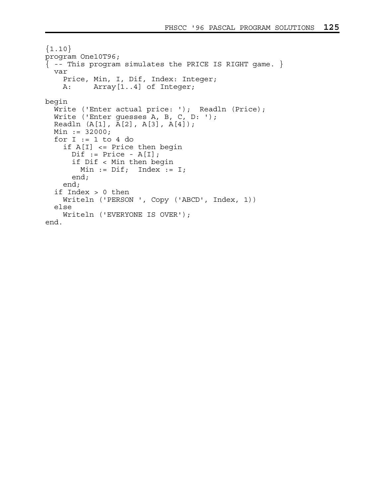```
{1.10}program One10T96; 
{ -- This program simulates the PRICE IS RIGHT game. } 
   var 
     Price, Min, I, Dif, Index: Integer; 
     A: Array[1..4] of Integer; 
begin 
  Write ('Enter actual price: '); Readln (Price);
   Write ('Enter guesses A, B, C, D: '); 
   Readln (A[1], A[2], A[3], A[4]); 
  Min := 32000;for I := 1 to 4 do
     if A[I] <= Price then begin 
      Dif := Price - A[I]; if Dif < Min then begin 
        Min := Diff; Index := I; end; 
     end; 
   if Index > 0 then 
     Writeln ('PERSON ', Copy ('ABCD', Index, 1)) 
   else 
     Writeln ('EVERYONE IS OVER'); 
end.
```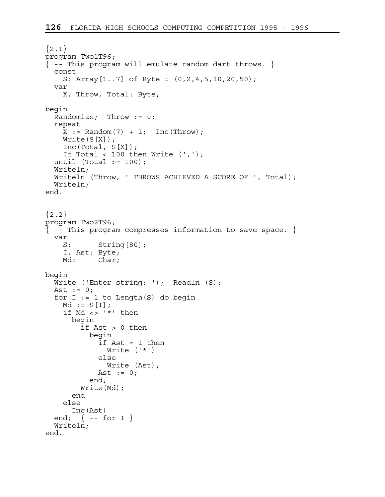```
{2.1}program Two1T96; 
\{-- This program will emulate random dart throws. \} const 
     S: Array[1..7] of Byte = (0,2,4,5,10,20,50); 
   var 
     X, Throw, Total: Byte; 
begin 
   Randomize; Throw := 0; 
   repeat 
    X := \text{Random}(7) + 1; \text{Inc}(\text{Throw});Write(S[X]);
     Inc(Total, S[X]); 
    If Total < 100 then Write (','');
  until (Total >= 100);
   Writeln; 
   Writeln (Throw, ' THROWS ACHIEVED A SCORE OF ', Total); 
   Writeln; 
end. 
{2.2}program Two2T96; 
{ -- This program compresses information to save space. } 
   var 
    S: String[80];
     I, Ast: Byte; 
    Md: Char;
begin 
  Write ('Enter string: '); Readln (S);
  Ast := 0;for I := 1 to Length(S) do begin
    Md := S[I]; if Md <> '*' then 
       begin 
          if Ast > 0 then 
            begin 
             if \text{Ast} = 1 then
                Write ('*') 
              else 
                Write (Ast); 
             Ast := 0; end; 
         Write(Md); 
       end 
     else 
       Inc(Ast) 
  end; \{ - - for I \} Writeln; 
end.
```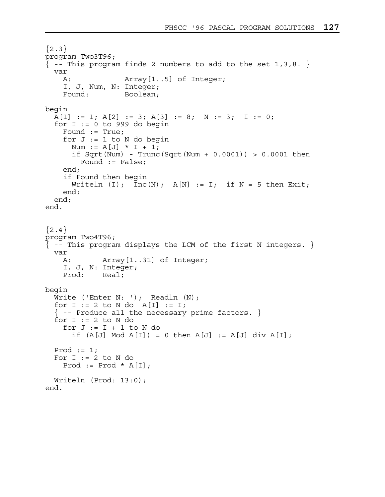```
{2.3}program Two3T96; 
\{-- This program finds 2 numbers to add to the set 1,3,8. \} var 
    A: Array [1..5] of Integer;
     I, J, Num, N: Integer; 
     Found: Boolean; 
begin 
  A[1] := 1; A[2] := 3; A[3] := 8; N := 3; I := 0;for I := 0 to 999 do begin
    Found := True;
    for J := 1 to N do begin
      Num := A[J] * I + 1;if Sqrt(Num) - Trunc(Sqrt(Num + 0.0001)) > 0.0001 then
        Found := False;
     end; 
     if Found then begin 
      Writeln (I); Inc(N); A[N] := I; if N = 5 then Exit;
     end; 
   end; 
end. 
{2.4}program Two4T96; 
{ -- This program displays the LCM of the first N integers. } 
   var 
    A: Array[1..31] of Integer; 
     I, J, N: Integer; 
     Prod: Real; 
begin 
  Write ('Enter N: '); Readln (N);
  for I := 2 to N do A[I] := I;
  \{ - - Produce all the necessary prime factors. \{ \}for I := 2 to N do
    for J := I + 1 to N do
      if (A[J] \mod A[I]) = 0 then A[J] := A[J] div A[I];
  Prod := 1;For I := 2 to N do
    Prod := Prod * A[I];
   Writeln (Prod: 13:0); 
end.
```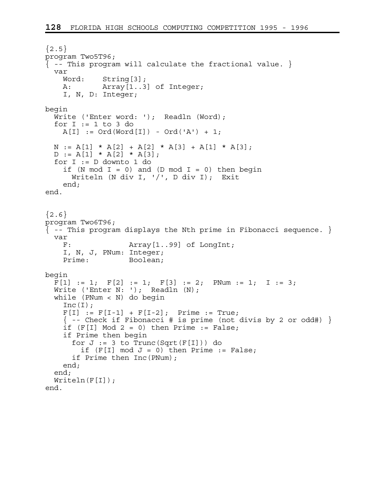```
{2.5}program Two5T96; 
\{ -- This program will calculate the fractional value. \{ var 
     Word: String[3]; 
    A: Array[1..3] of Integer; 
     I, N, D: Integer; 
begin 
  Write ('Enter word: '); Readln (Word);
   for I := 1 to 3 do 
   A[I] := Ord(Word[I]) - Ord('A') + 1;N := A[1] * A[2] + A[2] * A[3] + A[1] * A[3];D := A[1] * A[2] * A[3]; for I := D downto 1 do 
    if (N mod I = 0) and (D mod I = 0) then begin
      Writeln (N div I, !/', D div I); Exit
     end; 
end. 
{2.6}program Two6T96; 
\{ - - This program displays the Nth prime in Fibonacci sequence. \} var 
     F: Array[1..99] of LongInt; 
     I, N, J, PNum: Integer; 
    Prime: Boolean;
begin 
  F[1] := 1; F[2] := 1; F[3] := 2; PNum := 1; I := 3;Write ('Enter N: '); Readln (N);
   while (PNum < N) do begin 
    Inc(I);
    F[I] := F[I-1] + F[I-2]; Prime := True;
    \{ - - Check if Fibonacci # is prime (not divis by 2 or odd#) \}if (F[I] Mod 2 = 0) then Prime := False;
     if Prime then begin 
      for J := 3 to Trunc(Sqrt(F[I])) do
        if (F[I] \mod J = 0) then Prime := False;
       if Prime then Inc(PNum); 
     end; 
   end; 
  Writeln(F[I]);
end.
```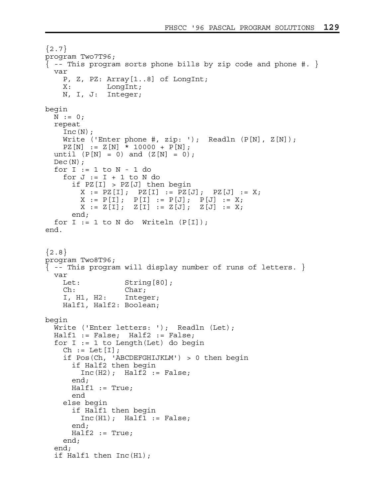```
{2.7}program Two7T96; 
\{ -- This program sorts phone bills by zip code and phone \#. \} var 
     P, Z, PZ: Array[1..8] of LongInt; 
     X: LongInt; 
     N, I, J: Integer; 
begin 
 N := 0; repeat 
    Inc(N);Write ('Enter phone #, zip: '); Readln (P[N], Z[N]);
    PZ[N] := Z[N] * 10000 + P[N];until (P[N] = 0) and (Z[N] = 0);
  Dec(N);for I := 1 to N - 1 do
    for J := I + 1 to N do
       if PZ[I] > PZ[J] then begin 
        X := PZ[I]; PZ[I] := PZ[J]; PZ[J] := X;X := P[I]; P[I] := P[J]; P[J] := X;X := Z[I]; Z[I] := Z[J]; Z[J] := X; end; 
  for I := 1 to N do Writeln (P[I]);
end. 
{2.8}program Two8T96; 
\{ - - This program will display number of runs of letters. \} var 
    Let: String[80];
     Ch: Char; 
     I, H1, H2: Integer; 
     Half1, Half2: Boolean; 
begin 
  Write ('Enter letters: '); Readln (Let);
   Half1 := False; Half2 := False; 
  for I := 1 to Length(Let) do begin
    Ch := Let [I];
     if Pos(Ch, 'ABCDEFGHIJKLM') > 0 then begin 
       if Half2 then begin 
        Inc(H2); Half2 := False;
       end; 
      Half1 := True; end 
     else begin 
       if Half1 then begin 
         Inc(H1); Half1 := False; 
       end; 
       Half2 := True; 
     end; 
   end; 
   if Half1 then Inc(H1);
```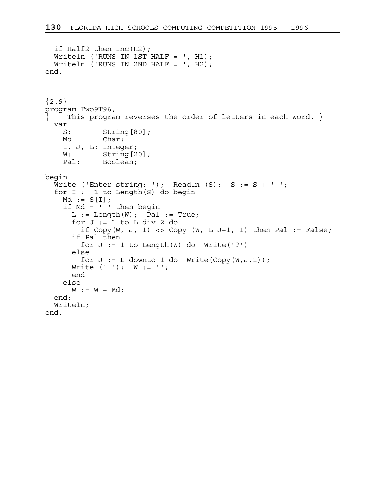```
 if Half2 then Inc(H2); 
  Writeln ('RUNS IN 1ST HALF = ', H1);
  Writeln ('RUNS IN 2ND HALF = ', H2);
end. 
{2.9}program Two9T96; 
\{ -- This program reverses the order of letters in each word. \} var 
    S: String[80];
   Md: Char;
     I, J, L: Integer; 
   W: String [20];
     Pal: Boolean; 
begin 
  Write ('Enter string: '); Readln (S); S := S + ' ';
  for I := 1 to Length(S) do begin
   Md := S[I]; if Md = ' ' then begin 
      L := Length(W); Pal := True;
      for J := 1 to L div 2 do
        if Copy(W, J, 1) \iff Copy(W, L-J+1, 1) then Pal := False;
       if Pal then 
        for J := 1 to Length(W) do Write('?')
       else 
        for J := L downto 1 do Write(Copy(W, J, 1));
      Write (' ' ); W := ' ';
       end 
     else 
     W := W + Md; end; 
   Writeln; 
end.
```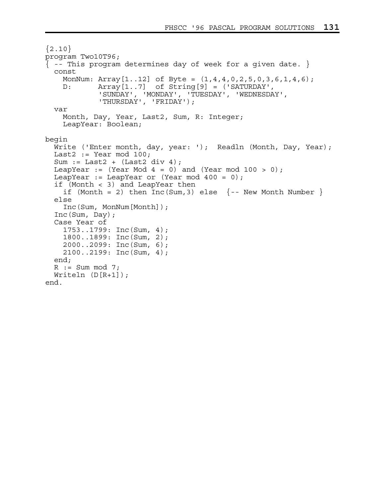```
{2.10}program Two10T96; 
\{ - - This program determines day of week for a given date. \} const 
     MonNum: Array[1..12] of Byte = (1,4,4,0,2,5,0,3,6,1,4,6); 
     D: Array[1..7] of String[9] = ('SATURDAY', 
             'SUNDAY', 'MONDAY', 'TUESDAY', 'WEDNESDAY', 
              'THURSDAY', 'FRIDAY'); 
   var 
     Month, Day, Year, Last2, Sum, R: Integer; 
     LeapYear: Boolean; 
begin 
   Write ('Enter month, day, year: '); Readln (Month, Day, Year); 
  Last2 := Year mod 100;Sum := Last2 + (Last2 div 4);LeapYear := (Year Mod 4 = 0) and (Year mod 100 > 0);
  LeapYear := LeapYear or (Year mod 400 = 0);
   if (Month < 3) and LeapYear then 
    if (Month = 2) then Inc(Sum, 3) else \{- - New Month Number \} else 
     Inc(Sum, MonNum[Month]); 
   Inc(Sum, Day); 
   Case Year of 
     1753..1799: Inc(Sum, 4); 
     1800..1899: Inc(Sum, 2); 
     2000..2099: Inc(Sum, 6); 
     2100..2199: Inc(Sum, 4); 
   end; 
  R := Sum \mod 7; Writeln (D[R+1]); 
end.
```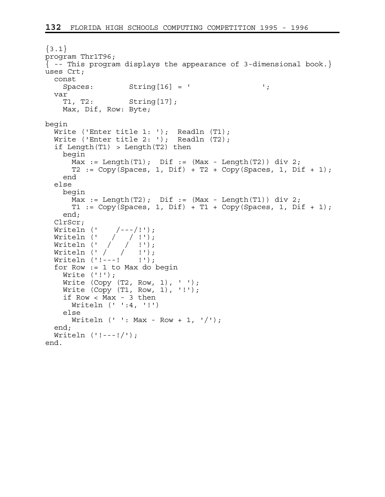```
\{3.1\}program Thr1T96; 
\{ - - This program displays the appearance of 3-dimensional book.
uses Crt; 
  const 
   Spaces: String [16] = ' ';
   var 
   T1, T2: String[17];
    Max, Dif, Row: Byte; 
begin 
 Write ('Enter title 1: '); Readln (T1); 
 Write ('Enter title 2: '); Readln (T2); 
   if Length(T1) > Length(T2) then 
    begin 
     Max := Length(T1); Dif := (Max - Length(T2)) div 2;
     T2 := Copy(Spaces, 1, Dit) + T2 + Copy(Spaces, 1, Dit + 1); end 
   else 
    begin 
     Max := Length(T2); Dif := Max - Length(T1)) div 2;
     T1 := Copy(Spaces, 1, Dit) + T1 + Copy(Spaces, 1, Dit + 1); end; 
   ClrScr; 
 Writeln (' /---/!'); 
 Writeln (' / / !'); 
 Writeln (' / / !'); 
 Writeln (' / / !'); 
Writeln ('!---! !');
   for Row := 1 to Max do begin 
   Write ('!!');
   Write (Copy (T2, Row, 1), ' '');
   Write (Copy (T1, Row, 1), '!!');
     if Row < Max - 3 then 
      Writeln (' ':4, '!') 
     else 
     Writeln (' ' : Max - Row + 1, '/');
   end; 
  Writeln ('!---!/');
end.
```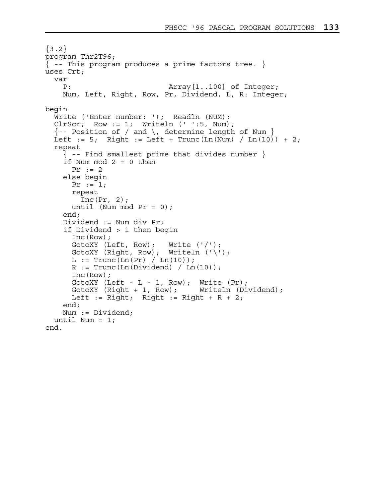```
{3.2}program Thr2T96; 
\{ - - This program produces a prime factors tree. \}uses Crt; 
  var 
    P: Array[1..100] of Integer;
     Num, Left, Right, Row, Pr, Dividend, L, R: Integer; 
begin 
  Write ('Enter number: '); Readln (NUM);
  ClrScr; Row := 1; Writeln (' ' : 5, Num);\{- Position of / and \, determine length of Num }
  Left := 5; Right := Left + Trunc(Ln(Num) / Ln(10)) + 2;
   repeat 
     { -- Find smallest prime that divides number } 
    if Num mod 2 = 0 then
      Pr := 2 else begin 
      Pr := 1; repeat 
        Inc(Pr, 2);
      until (Num mod Pr = 0);
     end; 
     Dividend := Num div Pr; 
     if Dividend > 1 then begin 
       Inc(Row); 
      GotoXY (Left, Row); Write ('');
       GotoXY (Right, Row); Writeln ('\'); 
      L := Trunc(Ln(Pr) / Ln(10));R := Trunc(Ln(Dividend) / Ln(10)); Inc(Row); 
      GotoXY (Left - L - 1, Row); Write (Pr);
       GotoXY (Right + 1, Row); Writeln (Dividend); 
      Left := Right; Right := Right + R + 2;
     end; 
     Num := Dividend; 
  until Num = 1;end.
```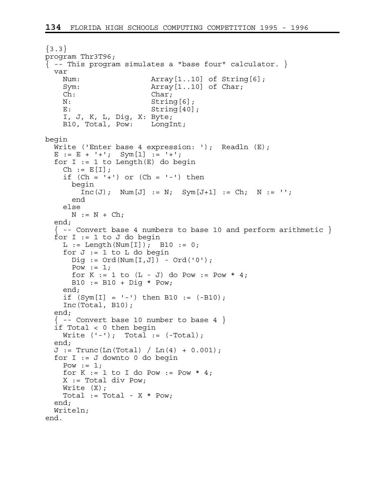```
\{3.3\}program Thr3T96; 
{ -- This program simulates a "base four" calculator. } 
   var 
    Num: Array[1..10] of String[6];
    Sym: Array [1..10] of Char;
     Ch: Char; 
   N: String[6];
    E: String [40];
     I, J, K, L, Dig, X: Byte; 
     B10, Total, Pow: LongInt; 
begin 
  Write ('Enter base 4 expression: '); Readln (E);
  E := E + '+; Sym[1] := '+;
  for I := 1 to Length(E) do begin
   Ch := E[I];
    if (Ch = '+') or (Ch = '-'') then
      begin 
        Inc(J); Num[J] := N; Sym[J+1] := Ch; N := ''; end 
     else 
     N := N + Ch; end; 
  \{ -- Convert base 4 numbers to base 10 and perform arithmetic \}for I := 1 to J do begin
    L := Length(Num[I]); B10 := 0;
    for J := 1 to L do begin
     \text{Diq} := \text{Ord}(\text{Num}[\text{I}, \text{J}]) - \text{Ord}('0');
     Pow := 1;for K := 1 to (L - J) do Pow := Pow * 4;
     B10 := B10 + Dig * Pow;
     end; 
    if (Sym[I] = '-') then B10 := (-B10);
     Inc(Total, B10); 
   end; 
  \{ -- Convert base 10 number to base 4 \} if Total < 0 then begin 
    Write ('-'); Total := (-Total);
   end; 
  J := Trunc(Ln(Total) / Ln(4) + 0.001); for I := J downto 0 do begin 
    Pow := 1;for K := 1 to I do Pow := Pow * 4;
   X := Total div Pow;Write (X);
    Total := Total - X * Pow; end; 
   Writeln; 
end.
```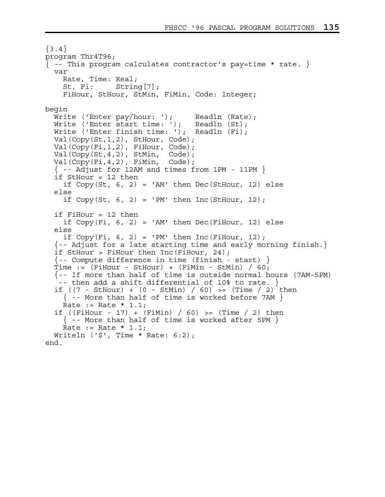```
\{3.4\}program Thr4T96; 
\{ -- This program calculates contractor's pay=time * rate. \} var 
     Rate, Time: Real; 
     St, Fi: String[7]; 
     FiHour, StHour, StMin, FiMin, Code: Integer; 
begin 
  Write ('Enter pay/hour: '); Readln (Rate);
  Write ('Enter start time: '); Readln (St);
  Write ('Enter finish time: '); Readln (Fi);
   Val(Copy(St,1,2), StHour, Code); 
   Val(Copy(Fi,1,2), FiHour, Code); 
  Val(Copy(St, 4, 2), StMin, Code);
   Val(Copy(Fi,4,2), FiMin, Code); 
  \{ -- Adjust for 12AM and times from 1PM - 11PM \} if StHour = 12 then 
   if Copy(St, 6, 2) = 'AM' then Dec(StHour, 12) else
   else 
    if Copy(St, 6, 2) = 'PM' then Inc(StHour, 12);
   if FiHour = 12 then 
    if Copy(Fi, 6, 2) = 'AM' then Dec(Fihour, 12) else
   else 
    if Copy(Fi, 6, 2) = 'PM' then Inc(Fihour, 12);
  \{-- Adjust for a late starting time and early morning finish.}
   if StHour > FiHour then Inc(FiHour, 24); 
   {-- Compute difference in time (finish - start) } 
  Time := (FilHour - StHour) + (FiMin - StMin) / 60; {-- If more than half of time is outside normal hours (7AM-5PM) 
    -- then add a shift differential of 10% to rate. } 
  if ((7 - \text{StHour}) + (0 - \text{StMin}) / 60) >= (\text{Time} / 2) then
    \{ - - More than half of time is worked before 7AM \}Rate := Rate * 1.1;
   if ((FiHour - 17) + (FiMin) / 60) >= (Time / 2) then 
    \{ -- More than half of time is worked after 5PM \}Rate := Rate * 1.1;
  Writeln ('$', Time * Rate: 6:2);
end.
```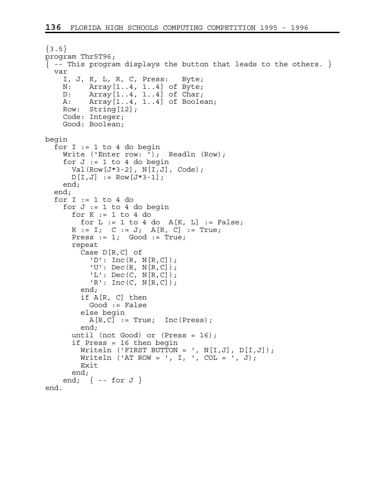```
\{3.5\}program Thr5T96; 
\{ -- This program displays the button that leads to the others. \} var 
     I, J, K, L, R, C, Press: Byte; 
     N: Array[1..4, 1..4] of Byte; 
     D: Array[1..4, 1..4] of Char; 
     A: Array[1..4, 1..4] of Boolean; 
    Row: String[12];
     Code: Integer; 
     Good: Boolean; 
begin 
  for I := 1 to 4 do begin
    Write ('Enter row: '); Readln (Row);
    for J := 1 to 4 do begin
      Val(Row[J*3-2], N[I,J], Code);
      D[I,J] := Row[J*3-1]; end; 
   end; 
  for I := 1 to 4 do
    for J := 1 to 4 do begin
      for K := 1 to 4 do
        for L := 1 to 4 do A[K, L] := False;R := I; C := J; A[R, C] := True;
      Press := 1; Good := True;
       repeat 
         Case D[R,C] of 
          'D': \text{Inc}(R, N[R, C]);
           'U': Dec(R, N[R,C]); 
            'L': Dec(C, N[R,C]); 
           'R': Inc(C, N[R,C]); 
         end; 
         if A[R, C] then 
           Good := False 
         else begin 
          A[R, C] := True; Inc(Press);
         end; 
       until (not Good) or (Press = 16); 
       if Press = 16 then begin 
        Writeln ('FIRST BUTTON = ', N[I,J], D[I,J]);
        Writeln ('AT ROW = ', I, ', COL = ', J);
         Exit 
       end; 
    end; \{ - - for J \}end.
```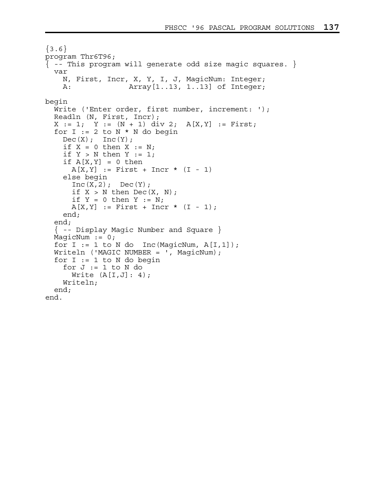```
\{3.6\}program Thr6T96; 
\{ -- This program will generate odd size magic squares. \} var 
     N, First, Incr, X, Y, I, J, MagicNum: Integer; 
     A: Array[1..13, 1..13] of Integer; 
begin 
  Write ('Enter order, first number, increment: ');
   Readln (N, First, Incr); 
  X := 1; Y := (N + 1) div 2; A[X, Y] := First;for I := 2 to N * N do begin
    Dec(X); Inc(Y);
    if X = 0 then X := N;
    if Y > N then Y := 1;
    if A[X,Y] = 0 then
      A[X, Y] := First + Incr * (I - 1)
     else begin 
      Inc(X, 2); Dec(Y);if X > N then Dec(X, N);
      if Y = 0 then Y := N;
      A[X, Y] := First + Incr * (I - 1);
     end; 
   end; 
   { -- Display Magic Number and Square } 
  MagicNum := 0;for I := 1 to N do Inc(MagicNum, A[I,1]);
   Writeln ('MAGIC NUMBER = ', MagicNum); 
  for I := 1 to N do begin
    for J := 1 to N do
      Write (A[I,J]: 4);
     Writeln; 
   end; 
end.
```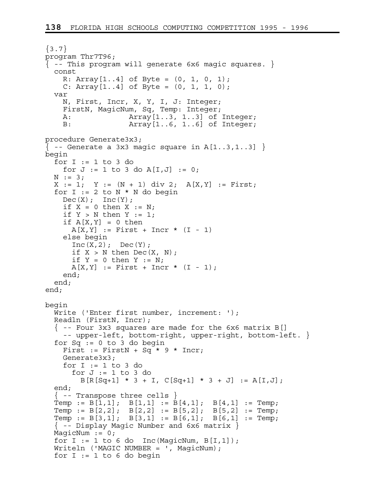```
\{3.7\}program Thr7T96; 
\{- - This program will generate 6x6 magic squares. \} const 
    R: Array[1..4] of Byte = (0, 1, 0, 1);
    C: Array[1..4] of Byte = (0, 1, 1, 0);
   var 
     N, First, Incr, X, Y, I, J: Integer; 
     FirstN, MagicNum, Sq, Temp: Integer; 
     A: Array[1..3, 1..3] of Integer; 
     B: Array[1..6, 1..6] of Integer; 
procedure Generate3x3; 
\{- - Generate a 3x3 magic square in A[1..3,1..3] \}begin 
  for I := 1 to 3 do
    for J := 1 to 3 do A[I, J] := 0;
  N := 3;X := 1; Y := (N + 1) div 2; A[X, Y] := First;for I := 2 to N * N do begin
   Dec(X); Inc(Y);
    if X = 0 then X := N;
    if Y > N then Y := 1;
    if A[X, Y] = 0 then
      A[X, Y] := First + Incr * (I - 1) else begin 
      Inc(X, 2); Dec(Y);if X > N then Dec(X, N);
      if Y = 0 then Y := N;
      A[X, Y] := First + Incr * (I - 1);
     end; 
   end; 
end; 
begin 
   Write ('Enter first number, increment: '); 
   Readln (FirstN, Incr); 
   { -- Four 3x3 squares are made for the 6x6 matrix B[] 
     -- upper-left, bottom-right, upper-right, bottom-left. } 
  for Sq := 0 to 3 do begin
    First := FirstN + Sq * 9 * Incr;
     Generate3x3; 
    for I := 1 to 3 do
      for J := 1 to 3 do
        B[R[Sq+1] * 3 + I, C[Sq+1] * 3 + J] := A[I,J]; end; 
   { -- Transpose three cells } 
Temp := B[1,1]; B[1,1] := B[4,1]; B[4,1] := Temp;Temp := B[2,2]; B[2,2] := B[5,2]; B[5,2] := Temp;Temp := B[3,1]; B[3,1] := B[6,1]; B[6,1] := Temp;
   { -- Display Magic Number and 6x6 matrix } 
  MagicNum := 0;for I := 1 to 6 do Inc (MagicNum, B[I,1]);
   Writeln ('MAGIC NUMBER = ', MagicNum); 
  for I := 1 to 6 do begin
```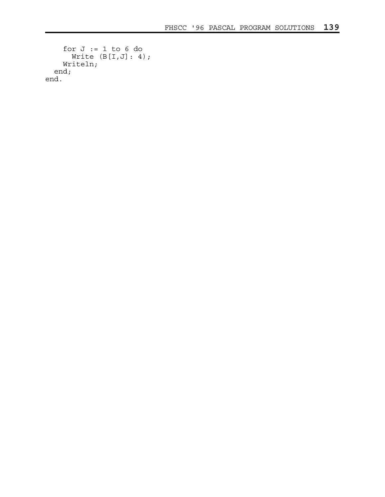```
for J := 1 to 6 do
     Write (B[I,J]: 4);
     Writeln; 
  end; 
end.
```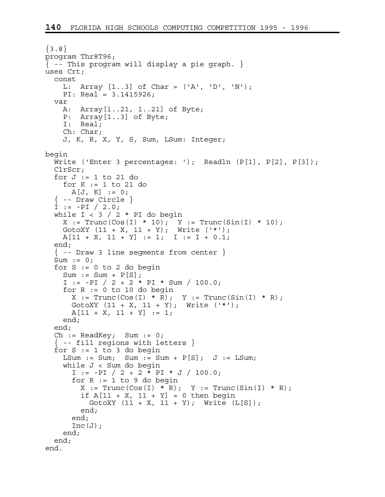```
{3.8}program Thr8T96; 
{ -- This program will display a pie graph. } 
uses Crt; 
   const 
     L: Array [1..3] of Char = ('A', 'D', 'N'); 
     PI: Real = 3.1415926; 
   var 
     A: Array[1..21, 1..21] of Byte; 
     P: Array[1..3] of Byte; 
     I: Real; 
     Ch: Char; 
     J, K, R, X, Y, S, Sum, LSum: Integer; 
begin 
  Write ('Enter 3 percentages: '); Readln (P[1], P[2], P[3]);
   ClrScr; 
  for J := 1 to 21 do
     for K := 1 to 21 do 
      A[J, K] := 0;\{ -- Draw Circle \}I := -PI / 2.0;while I < 3 / 2 * PI do begin
    X := True(Cos(I) * 10); Y := True(Sin(I) * 10);GotoXY (11 + X, 11 + Y); Write ('*);
    A[11 + X, 11 + Y] := 1; I := I + 0.1; end; 
  \{ -- Draw 3 line seqments from center \}Sum := 0;for S := 0 to 2 do begin
    Sum := Sum + P[S];I := -PI / 2 + 2 * PI * Sum / 100.0;for R := 0 to 10 do begin
      X := Trunc(\text{Cos}(I) * R); Y := Trunc(\text{Sin}(I) * R);
      GotoXY (11 + X, 11 + Y); Write ('*);
      A[11 + X, 11 + Y] := 1; end; 
   end; 
   Ch := ReadKey; Sum := 0; 
  \{ -- fill regions with letters \{for S := 1 to 3 do begin
    LSum := Sum; Sum := Sum + P[S]; J := LSum;
     while J < Sum do begin 
      I := -PI / 2 + 2 * PI * J / 100.0;for R := 1 to 9 do begin
        X := \text{Trunc}(Cos(I) * R); Y := \text{Trunc}(Sin(I) * R);if A[11 + X, 11 + Y] = 0 then begin
          GotoXY (11 + X, 11 + Y); Write (L[S]);
         end; 
       end; 
      Inc(J);
     end; 
   end; 
end.
```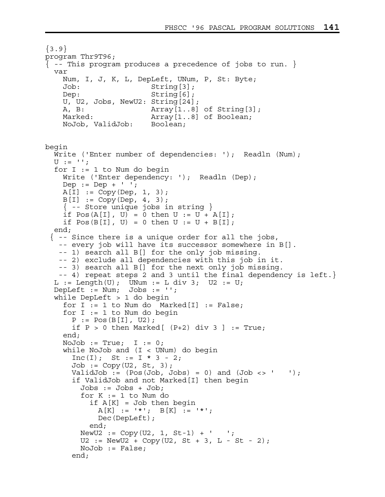```
{3.9}program Thr9T96; 
{ -- This program produces a precedence of jobs to run. } 
   var 
    Num, I, J, K, L, DepLeft, UNum, P, St: Byte; 
    Job: String[3]; 
   Dep: String[6];
    U, U2, Jobs, NewU2: String[24]; 
   A, B: Marray [1..8] of String [3];
   Marked: Array[1..8] of Boolean;
    NoJob, ValidJob: Boolean; 
begin 
 Write ('Enter number of dependencies: '); Readln (Num);
 U := '':for I := 1 to Num do begin
   Write ('Enter dependency: '); Readln (Dep);
   Dep := Dep + ' ';
   A[I] := Copy(Dep, 1, 3);B[I] := Copy(Dep, 4, 3);\{- - Store unique jobs in string \}if Pos(A[I], U) = 0 then U := U + A[I];if Pos(B[I], U) = 0 then U := U + B[I]; end; 
 \{-\} -- Since there is a unique order for all the jobs,
    -- every job will have its successor somewhere in B[]. 
    -- 1) search all B[] for the only job missing. 
    -- 2) exclude all dependencies with this job in it. 
    -- 3) search all B[] for the next only job missing. 
    -- 4) repeat steps 2 and 3 until the final dependency is left.} 
  L := Length(U); UNum := L div 3; U2 := U;
  DepLeft := Num; Jobs := '';
   while DepLeft > 1 do begin 
   for I := 1 to Num do Marked[I] := False;for I := 1 to Num do begin
      P := Pos(B[I], U2);if P > 0 then Marked[ (P+2) div 3 ] := True;
    end; 
   NoJob := True; I := 0; while NoJob and (I < UNum) do begin 
      Inc(I); St := I * 3 - 2;
      Job := Copy(U2, St, 3);ValidJob := (Pos(Job, Jobs) = 0) and (Job \leq ' ' );
       if ValidJob and not Marked[I] then begin 
        Jobs := Jobs + Job;for K := 1 to Num do
          if A[K] = Job then begin
           A[K] := ' *'; B[K] := ' *'; Dec(DepLeft); 
           end; 
       NewU2 := Copy(U2, 1, St-1) + ' ';
       U2 := NewU2 + Copy(U2, St + 3, L - St - 2); NoJob := False; 
       end;
```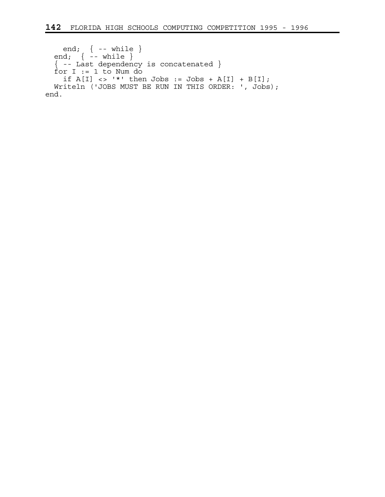```
 end; { -- while } 
 end; { -- while } 
  { -- Last dependency is concatenated } 
 for I := 1 to Num do
if A[I] \iff '*' then Jobs := Jobs + A[I] + B[I];
 Writeln ('JOBS MUST BE RUN IN THIS ORDER: ', Jobs); 
end.
```